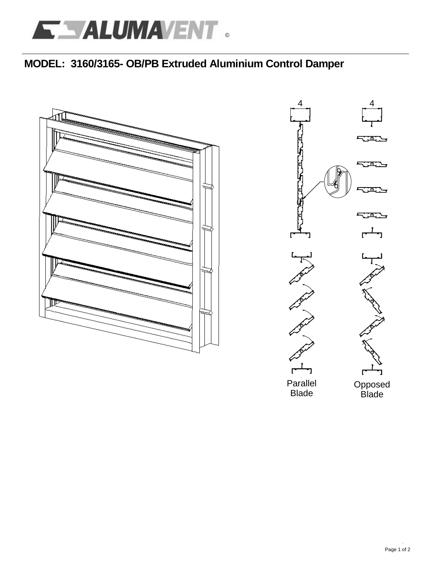# **MODEL: 3160/3165- OB/PB Extruded Aluminium Control Damper**